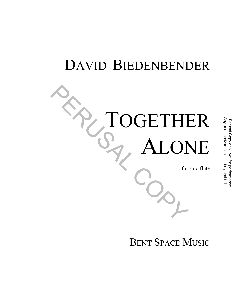## DAVID BIEDENBENDER

# TOGETHER LONE PRESERVED PERSONE

for solo flute

## BENT SPACE MUSIC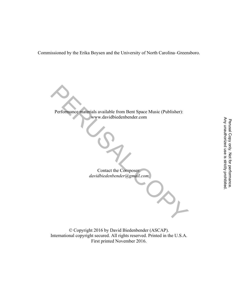Commissioned by the Erika Boysen and the University of North Carolina–Greensboro.

Performance materials available from Bent Space Music (Publisher): www.davidbiedenbender.com PERUSAL COPY Perusal Copy only. Not for performance.

Contact the Composer: *davidbiedenbender@gmail.com* 

© Copyright 2016 by David Biedenbender (ASCAP). International copyright secured. All rights reserved. Printed in the U.S.A. First printed November 2016.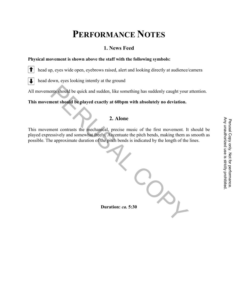## **PERFORMANCE NOTES**

#### **1. News Feed**

#### **Physical movement is shown above the staff with the following symbols:**

 $\bullet$ head up, eyes wide open, eyebrows raised, alert and looking directly at audience/camera

 $\downarrow$ head down, eyes looking intently at the ground

All movements should be quick and sudden, like something has suddenly caught your attention.

**This movement should be played exactly at 60bpm with absolutely no deviation.** 

#### **2. Alone**

This movement contrasts the mechanical, precise music of the first movement. It should be played expressively and somewhat freely. Accentuate the pitch bends, making them as smooth as possible. The approximate duration of the pitch bends is indicated by the length of the lines.

**Duration:** *ca.* **5:30**  For the first movement. It should be<br>tch bends, making them as smooth as<br>licated by the length of the lines.<br>licated by the length of the lines.<br> $\frac{32}{100}$ <br> $\frac{32}{100}$ <br> $\frac{32}{100}$ <br> $\frac{32}{100}$ <br> $\frac{32}{100}$ <br> $\frac{32}{100}$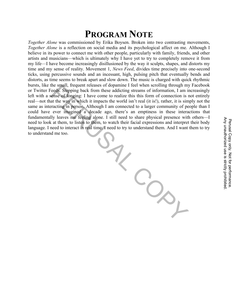## **PROGRAM NOTE**

*Together Alone* was commissioned by Erika Boysen. Broken into two contrasting movements, *Together Alone* is a reflection on social media and its psychological affect on me. Although I believe in its power to connect me with other people, particularly with family, friends, and other artists and musicians—which is ultimately why I have yet to try to completely remove it from my life—I have become increasingly disillusioned by the way it sculpts, shapes, and distorts my time and my sense of reality. Movement 1, *News Feed*, divides time precisely into one-second ticks, using percussive sounds and an incessant, high, pulsing pitch that eventually bends and distorts, as time seems to break apart and slow down. The music is charged with quick rhythmic bursts, like the small, frequent releases of dopamine I feel when scrolling through my Facebook or Twitter Feeds. Stepping back from these addicting streams of information, I am increasingly left with a sense of longing: I have come to realize this this form of connection is not entirely real—not that the way in which it impacts the world isn't real (it is!), rather, it is simply not the same as interacting in person. Although I am connected to a larger community of people than I could have ever imagined a decade ago, there's an emptiness in these interactions that fundamentally leaves me feeling alone. I still need to share physical presence with others—I need to look at them, to listen to them, to watch their facial expressions and interpret their body language. I need to interact in real time. I need to try to understand them. And I want them to try to understand me too. Find the to share physical presence with others—1<br>
vatch their facial expressions and interpret their body<br>
eed to try to understand them. And I want them to try<br>
eed to try to understand them. And I want them to try<br>
and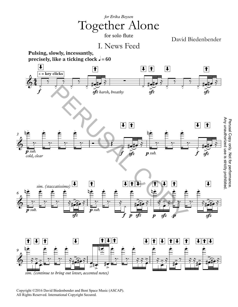

Copyright ©2016 David Biedenbender and Bent Space Music (ASCAP). All Rights Reserved. International Copyright Secured.

Any unauthorized use is strictly prohibited.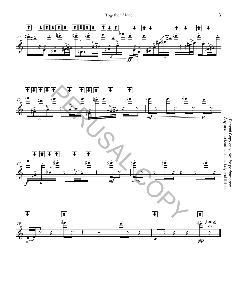